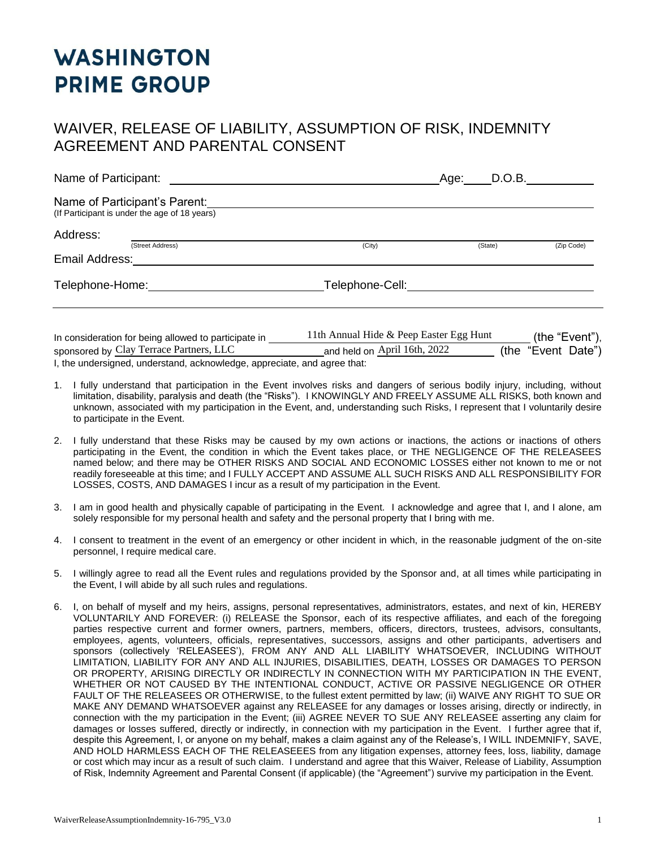## **WASHINGTON PRIME GROUP**

## WAIVER, RELEASE OF LIABILITY, ASSUMPTION OF RISK, INDEMNITY AGREEMENT AND PARENTAL CONSENT

| Name of Participant:                                                           |                 | Age: D.O.B. |            |
|--------------------------------------------------------------------------------|-----------------|-------------|------------|
| Name of Participant's Parent:<br>(If Participant is under the age of 18 years) |                 |             |            |
| Address:<br>(Street Address)<br>Email Address:                                 | (City)          | (State)     | (Zip Code) |
| Telephone-Home:                                                                | Telephone-Cell: |             |            |
|                                                                                |                 |             |            |

In consideration for being allowed to participate in  $11$ th Annual Hide & Peep Easter Egg Hunt (the "Event"), sponsored by Clay Terrace Partners, LLC and held on April 16th, 2022 (the "Event Date") I, the undersigned, understand, acknowledge, appreciate, and agree that: 11th Annual Hide & Peep Easter Egg Hunt and held on April 16th, 2022

- 1. I fully understand that participation in the Event involves risks and dangers of serious bodily injury, including, without limitation, disability, paralysis and death (the "Risks"). I KNOWINGLY AND FREELY ASSUME ALL RISKS, both known and unknown, associated with my participation in the Event, and, understanding such Risks, I represent that I voluntarily desire to participate in the Event.
- 2. I fully understand that these Risks may be caused by my own actions or inactions, the actions or inactions of others participating in the Event, the condition in which the Event takes place, or THE NEGLIGENCE OF THE RELEASEES named below; and there may be OTHER RISKS AND SOCIAL AND ECONOMIC LOSSES either not known to me or not readily foreseeable at this time; and I FULLY ACCEPT AND ASSUME ALL SUCH RISKS AND ALL RESPONSIBILITY FOR LOSSES, COSTS, AND DAMAGES I incur as a result of my participation in the Event.
- 3. I am in good health and physically capable of participating in the Event. I acknowledge and agree that I, and I alone, am solely responsible for my personal health and safety and the personal property that I bring with me.
- 4. I consent to treatment in the event of an emergency or other incident in which, in the reasonable judgment of the on-site personnel, I require medical care.
- 5. I willingly agree to read all the Event rules and regulations provided by the Sponsor and, at all times while participating in the Event, I will abide by all such rules and regulations.
- 6. I, on behalf of myself and my heirs, assigns, personal representatives, administrators, estates, and next of kin, HEREBY VOLUNTARILY AND FOREVER: (i) RELEASE the Sponsor, each of its respective affiliates, and each of the foregoing parties respective current and former owners, partners, members, officers, directors, trustees, advisors, consultants, employees, agents, volunteers, officials, representatives, successors, assigns and other participants, advertisers and sponsors (collectively 'RELEASEES'), FROM ANY AND ALL LIABILITY WHATSOEVER, INCLUDING WITHOUT LIMITATION, LIABILITY FOR ANY AND ALL INJURIES, DISABILITIES, DEATH, LOSSES OR DAMAGES TO PERSON OR PROPERTY, ARISING DIRECTLY OR INDIRECTLY IN CONNECTION WITH MY PARTICIPATION IN THE EVENT, WHETHER OR NOT CAUSED BY THE INTENTIONAL CONDUCT, ACTIVE OR PASSIVE NEGLIGENCE OR OTHER FAULT OF THE RELEASEES OR OTHERWISE, to the fullest extent permitted by law; (ii) WAIVE ANY RIGHT TO SUE OR MAKE ANY DEMAND WHATSOEVER against any RELEASEE for any damages or losses arising, directly or indirectly, in connection with the my participation in the Event; (iii) AGREE NEVER TO SUE ANY RELEASEE asserting any claim for damages or losses suffered, directly or indirectly, in connection with my participation in the Event. I further agree that if, despite this Agreement, I, or anyone on my behalf, makes a claim against any of the Release's, I WILL INDEMNIFY, SAVE, AND HOLD HARMLESS EACH OF THE RELEASEEES from any litigation expenses, attorney fees, loss, liability, damage or cost which may incur as a result of such claim. I understand and agree that this Waiver, Release of Liability, Assumption of Risk, Indemnity Agreement and Parental Consent (if applicable) (the "Agreement") survive my participation in the Event.